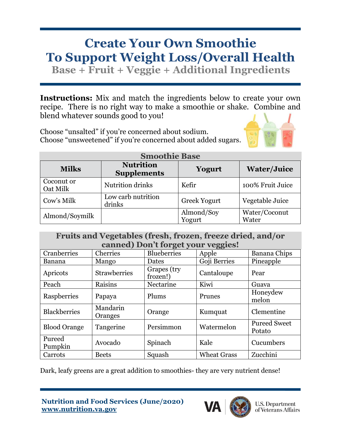## **Create Your Own Smoothie To Support Weight Loss/Overall Health**

**Base + Fruit + Veggie + Additional Ingredients**

**Instructions:** Mix and match the ingredients below to create your own recipe. There is no right way to make a smoothie or shake. Combine and blend whatever sounds good to you!

Choose "unsalted" if you're concerned about sodium. Choose "unsweetened" if you're concerned about added sugars.



| <b>Smoothie Base</b>   |                                        |                      |                        |  |  |  |  |
|------------------------|----------------------------------------|----------------------|------------------------|--|--|--|--|
| <b>Milks</b>           | <b>Nutrition</b><br><b>Supplements</b> | Yogurt               | <b>Water/Juice</b>     |  |  |  |  |
| Coconut or<br>Oat Milk | Nutrition drinks                       | Kefir                | 100% Fruit Juice       |  |  |  |  |
| Cow's Milk             | Low carb nutrition<br>drinks           | <b>Greek Yogurt</b>  | Vegetable Juice        |  |  |  |  |
| Almond/Soymilk         |                                        | Almond/Soy<br>Yogurt | Water/Coconut<br>Water |  |  |  |  |

## **Fruits and Vegetables (fresh, frozen, freeze dried, and/or**

| canned) Don't forget your veggies! |                     |                         |                    |                               |  |  |  |
|------------------------------------|---------------------|-------------------------|--------------------|-------------------------------|--|--|--|
| Cranberries                        | Cherries            | <b>Blueberries</b>      | Apple              | Banana Chips                  |  |  |  |
| <b>Banana</b>                      | Mango               | Dates                   | Goji Berries       | Pineapple                     |  |  |  |
| Apricots                           | <b>Strawberries</b> | Grapes (try<br>frozen!) | Cantaloupe         | Pear                          |  |  |  |
| Peach                              | Raisins             | Nectarine               | Kiwi               | Guava                         |  |  |  |
| Raspberries                        | Papaya              | Plums                   | Prunes             | Honeydew<br>melon             |  |  |  |
| <b>Blackberries</b>                | Mandarin<br>Oranges | Orange                  | Kumquat            | Clementine                    |  |  |  |
| <b>Blood Orange</b>                | Tangerine           | Persimmon               | Watermelon         | <b>Pureed Sweet</b><br>Potato |  |  |  |
| Pureed<br>Pumpkin                  | Avocado             | Spinach                 | Kale               | Cucumbers                     |  |  |  |
| Carrots                            | <b>Beets</b>        | Squash                  | <b>Wheat Grass</b> | Zucchini                      |  |  |  |

Dark, leafy greens are a great addition to smoothies- they are very nutrient dense!